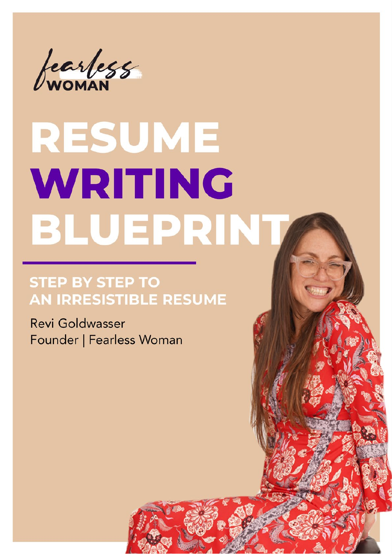

# RESUME **WRITING** BLUEPRINT

#### **STEP BY STEP TO** AN IRRESISTIBLE RESUME

**Revi Goldwasser** Founder | Fearless Woman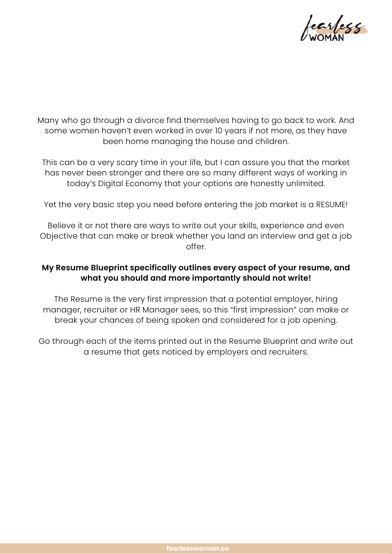

Many who go through a divorce find themselves having to go back to work. And some women haven't even worked in over 10 years if not more, as they have been home managing the house and children.

This can be a very scary time in your life, but I can assure you that the market has never been stronger and there are so many different ways of working in today's Digital Economy that your options are honestly unlimited.

Yet the very basic step you need before entering the job market is a RESUME!

Believe it or not there are ways to write out your skills, experience and even Objective that can make or break whether you land an interview and get a job offer

#### **My Resume Blueprint specifically outlines every aspect of your resume, and what you should and more importantly should not write!**

The Resume is the very first impression that a potential employer, hiring manager, recruiter or HR Manager sees, so this "first impression" can make or break your chances of being spoken and considered for a job opening.

Go through each of the items printed out in the Resume Blueprint and write out a resume that gets noticed by employers and recruiters.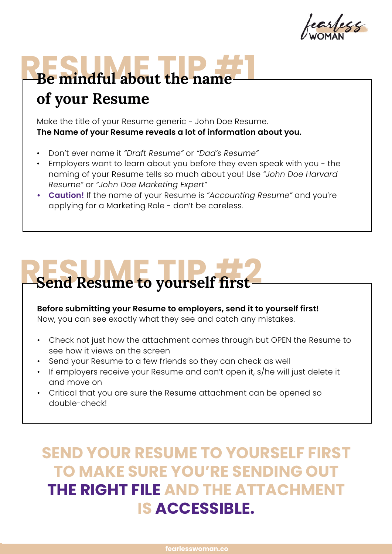tearless

### **RESUME TIP #1 of your Resume**

Make the title of your Resume generic - John Doe Resume. **The Name of your Resume reveals a lot of information about you.**

- Don't ever name it *"Draft Resume"* or *"Dad's Resume"*
- Employers want to learn about you before they even speak with you the naming of your Resume tells so much about you! Use *"John Doe Harvard Resume"* or *"John Doe Marketing Expert"*
- **• Caution!** If the name of your Resume is *"Accounting Resume"* and you're applying for a Marketing Role - don't be careless.

### **RESUME TO YOURSELF first**

#### **Before submitting your Resume to employers, send it to yourself first!**

Now, you can see exactly what they see and catch any mistakes.

- Check not just how the attachment comes through but OPEN the Resume to see how it views on the screen
- Send your Resume to a few friends so they can check as well
- If employers receive your Resume and can't open it, s/he will just delete it and move on
- Critical that you are sure the Resume attachment can be opened so double-check!

#### **SEND YOUR RESUME TO YOURSELF FIRST TO MAKE SURE YOU'RE SENDING OUT THE RIGHT FILE AND THE ATTACHMENT IS ACCESSIBLE.**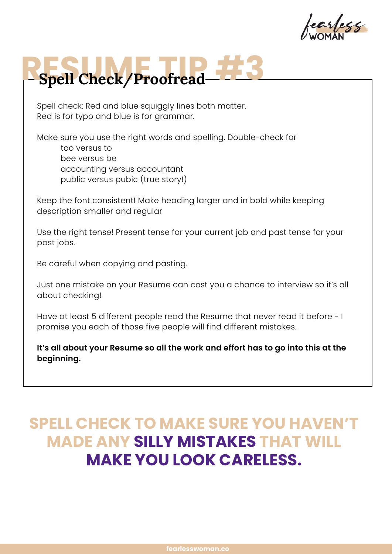## **RESPECTED ENGINEERING #3**

Spell check: Red and blue squiggly lines both matter. Red is for typo and blue is for grammar.

Make sure you use the right words and spelling. Double-check for too versus to bee versus be accounting versus accountant public versus pubic (true story!)

Keep the font consistent! Make heading larger and in bold while keeping description smaller and regular

Use the right tense! Present tense for your current job and past tense for your past jobs.

Be careful when copying and pasting.

Just one mistake on your Resume can cost you a chance to interview so it's all about checking!

Have at least 5 different people read the Resume that never read it before - I promise you each of those five people will find different mistakes.

**It's all about your Resume so all the work and effort has to go into this at the beginning.**

### **SPELL CHECK TO MAKE SURE YOU HAVEN'T MADE ANY SILLY MISTAKES THAT WILL MAKE YOU LOOK CARELESS.**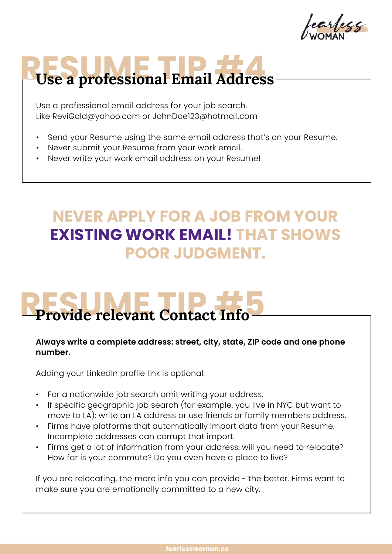earlecc

### Use a professional Email Address

Use a professional email address for your job search. Like ReviGold@yahoo.com or JohnDoe123@hotmail.com

- Send your Resume using the same email address that's on your Resume.
- Never submit your Resume from your work email.
- Never write your work email address on your Resume!

#### **NEVER APPLY FOR A JOB FROM YOUR EXISTING WORK EMAIL! THAT SHOWS POOR JUDGMENT.**

### **Provide relevant Contact Info**

#### **Always write a complete address: street, city, state, ZIP code and one phone number.**

Adding your LinkedIn profile link is optional.

- For a nationwide job search omit writing your address.
- If specific geographic job search (for example, you live in NYC but want to move to LA): write an LA address or use friends or family members address.
- Firms have platforms that automatically import data from your Resume. Incomplete addresses can corrupt that import.
- Firms get a lot of information from your address: will you need to relocate? How far is your commute? Do you even have a place to live?

If you are relocating, the more info you can provide - the better. Firms want to make sure you are emotionally committed to a new city.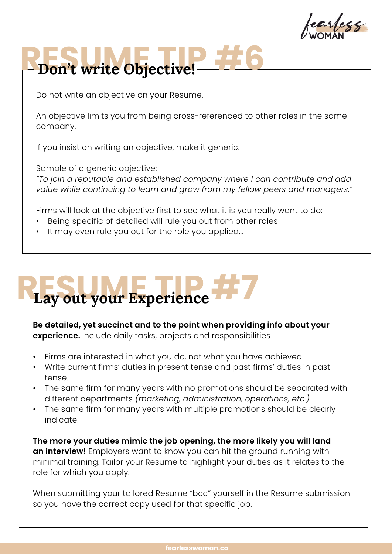earless

# **RESUME TIP #6**

Do not write an objective on your Resume.

An objective limits you from being cross-referenced to other roles in the same company.

If you insist on writing an objective, make it generic.

Sample of a generic objective:

*"To join a reputable and established company where I can contribute and add value while continuing to learn and grow from my fellow peers and managers."*

Firms will look at the objective first to see what it is you really want to do:

- Being specific of detailed will rule you out from other roles
- It may even rule you out for the role you applied...

## Result your Experience

**Be detailed, yet succinct and to the point when providing info about your experience.** Include daily tasks, projects and responsibilities.

- Firms are interested in what you do, not what you have achieved.
- Write current firms' duties in present tense and past firms' duties in past tense.
- The same firm for many years with no promotions should be separated with different departments *(marketing, administration, operations, etc.)*
- The same firm for many years with multiple promotions should be clearly indicate.

**The more your duties mimic the job opening, the more likely you will land an interview!** Employers want to know you can hit the ground running with minimal training. Tailor your Resume to highlight your duties as it relates to the role for which you apply.

When submitting your tailored Resume "bcc" yourself in the Resume submission so you have the correct copy used for that specific job.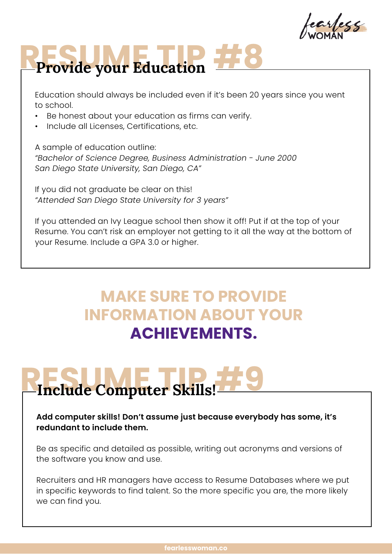earless

## **RESUME TIP #8 Provide your Education**

Education should always be included even if it's been 20 years since you went to school.

- Be honest about your education as firms can verify.
- Include all Licenses, Certifications, etc.

A sample of education outline: *"Bachelor of Science Degree, Business Administration - June 2000 San Diego State University, San Diego, CA"*

If you did not graduate be clear on this! *"Attended San Diego State University for 3 years"*

If you attended an Ivy League school then show it off! Put if at the top of your Resume. You can't risk an employer not getting to it all the way at the bottom of your Resume. Include a GPA 3.0 or higher.

#### **MAKE SURE TO PROVIDE INFORMATION ABOUT YOUR ACHIEVEMENTS.**

## **RESUME TIP #9 Include Computer Skills!**

**Add computer skills! Don't assume just because everybody has some, it's redundant to include them.** 

Be as specific and detailed as possible, writing out acronyms and versions of the software you know and use.

Recruiters and HR managers have access to Resume Databases where we put in specific keywords to find talent. So the more specific you are, the more likely we can find you.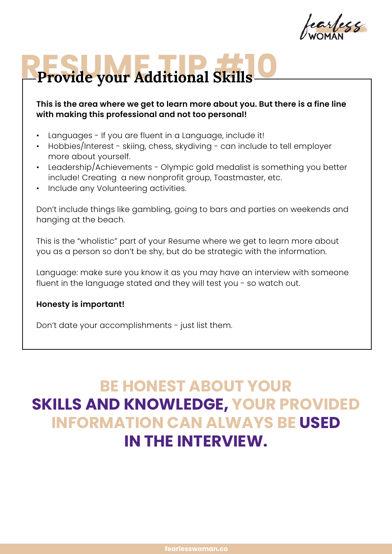arlegg

## Provide your Additional Skills

#### **This is the area where we get to learn more about you. But there is a fine line with making this professional and not too personal!**

- Languages If you are fluent in a Language, include it!
- Hobbies/Interest skiing, chess, skydiving can include to tell employer more about yourself.
- Leadership/Achievements Olympic gold medalist is something you better include! Creating a new nonprofit group, Toastmaster, etc.
- Include any Volunteering activities.

Don't include things like gambling, going to bars and parties on weekends and hanging at the beach.

This is the "wholistic" part of your Resume where we get to learn more about you as a person so don't be shy, but do be strategic with the information.

Language: make sure you know it as you may have an interview with someone fluent in the language stated and they will test you - so watch out.

#### **Honesty is important!**

Don't date your accomplishments - just list them.

### **BE HONEST ABOUT YOUR SKILLS AND KNOWLEDGE, YOUR PROVIDED INFORMATION CAN ALWAYS BE USED IN THE INTERVIEW.**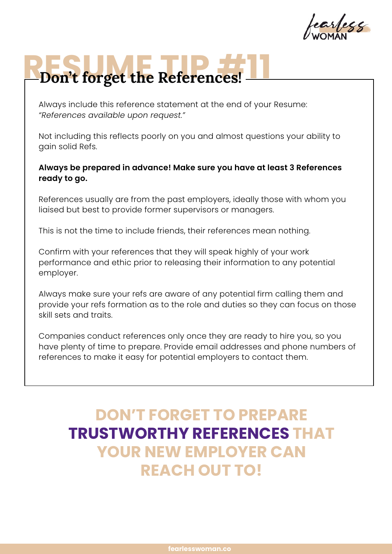arless

## **RESUME TIP AND THE POST OF PROPERTY AND THE POST OF PROPERTY**

Always include this reference statement at the end of your Resume: *"References available upon request."*

Not including this reflects poorly on you and almost questions your ability to gain solid Refs.

#### **Always be prepared in advance! Make sure you have at least 3 References ready to go.**

References usually are from the past employers, ideally those with whom you liaised but best to provide former supervisors or managers.

This is not the time to include friends, their references mean nothing.

Confirm with your references that they will speak highly of your work performance and ethic prior to releasing their information to any potential employer.

Always make sure your refs are aware of any potential firm calling them and provide your refs formation as to the role and duties so they can focus on those skill sets and traits.

Companies conduct references only once they are ready to hire you, so you have plenty of time to prepare. Provide email addresses and phone numbers of references to make it easy for potential employers to contact them.

### **DON'T FORGET TO PREPARE TRUSTWORTHY REFERENCES THAT YOUR NEW EMPLOYER CAN REACH OUT TO!**